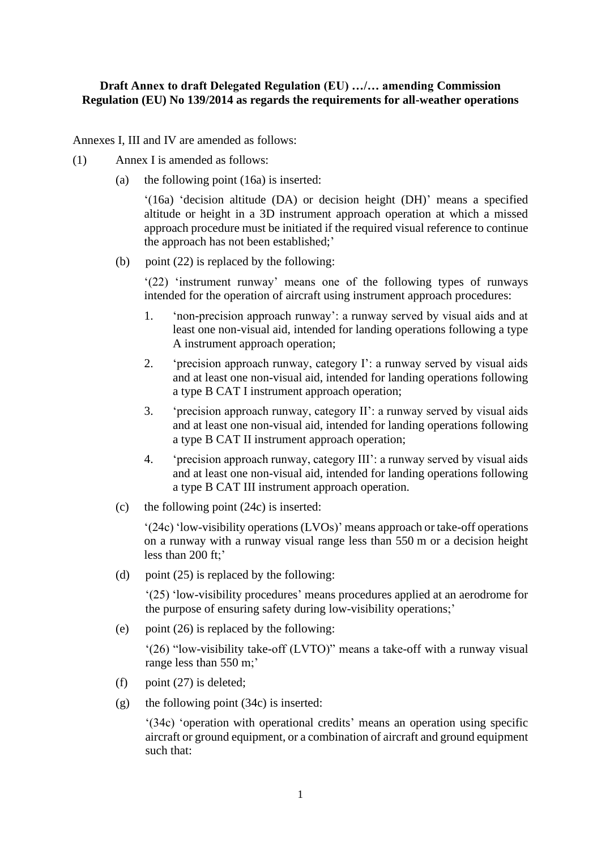## **Draft Annex to draft Delegated Regulation (EU) …/… amending Commission Regulation (EU) No 139/2014 as regards the requirements for all-weather operations**

Annexes I, III and IV are amended as follows:

- (1) Annex I is amended as follows:
	- (a) the following point (16a) is inserted:

'(16a) 'decision altitude (DA) or decision height (DH)' means a specified altitude or height in a 3D instrument approach operation at which a missed approach procedure must be initiated if the required visual reference to continue the approach has not been established;'

(b) point  $(22)$  is replaced by the following:

'(22) 'instrument runway' means one of the following types of runways intended for the operation of aircraft using instrument approach procedures:

- 1. 'non-precision approach runway': a runway served by visual aids and at least one non-visual aid, intended for landing operations following a type A instrument approach operation;
- 2. 'precision approach runway, category I': a runway served by visual aids and at least one non-visual aid, intended for landing operations following a type B CAT I instrument approach operation;
- 3. 'precision approach runway, category II': a runway served by visual aids and at least one non-visual aid, intended for landing operations following a type B CAT II instrument approach operation;
- 4. 'precision approach runway, category III': a runway served by visual aids and at least one non-visual aid, intended for landing operations following a type B CAT III instrument approach operation.
- (c) the following point (24c) is inserted:

'(24c) 'low-visibility operations (LVOs)' means approach or take-off operations on a runway with a runway visual range less than 550 m or a decision height less than 200 ft;'

(d) point (25) is replaced by the following:

'(25) 'low-visibility procedures' means procedures applied at an aerodrome for the purpose of ensuring safety during low-visibility operations;'

(e) point (26) is replaced by the following:

'(26) "low-visibility take-off (LVTO)" means a take-off with a runway visual range less than 550 m;'

- (f) point  $(27)$  is deleted:
- (g) the following point (34c) is inserted:

'(34c) 'operation with operational credits' means an operation using specific aircraft or ground equipment, or a combination of aircraft and ground equipment such that: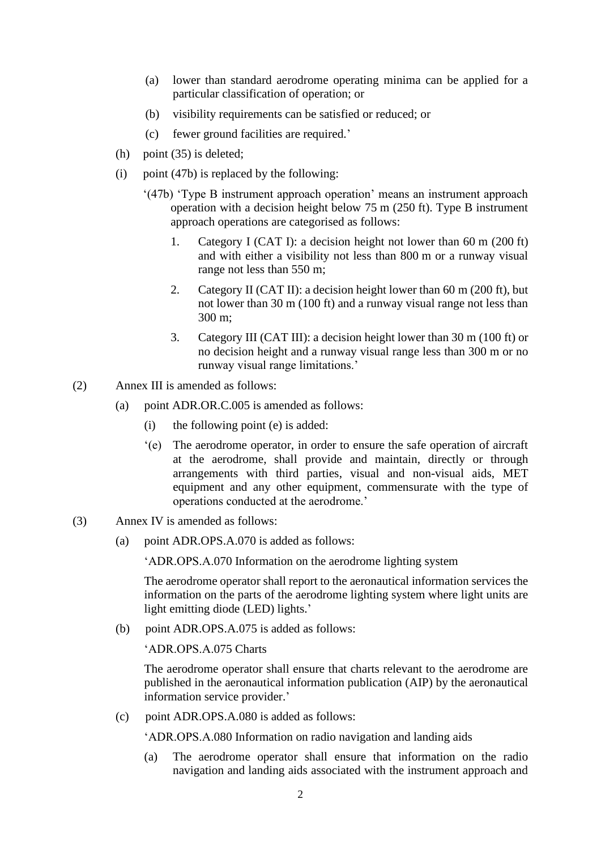- (a) lower than standard aerodrome operating minima can be applied for a particular classification of operation; or
- (b) visibility requirements can be satisfied or reduced; or
- (c) fewer ground facilities are required.'
- (h) point (35) is deleted;
- (i) point  $(47b)$  is replaced by the following:
	- '(47b) 'Type B instrument approach operation' means an instrument approach operation with a decision height below 75 m (250 ft). Type B instrument approach operations are categorised as follows:
		- 1. Category I (CAT I): a decision height not lower than 60 m (200 ft) and with either a visibility not less than 800 m or a runway visual range not less than 550 m;
		- 2. Category II (CAT II): a decision height lower than 60 m (200 ft), but not lower than 30 m (100 ft) and a runway visual range not less than 300 m;
		- 3. Category III (CAT III): a decision height lower than 30 m (100 ft) or no decision height and a runway visual range less than 300 m or no runway visual range limitations.'
- (2) Annex III is amended as follows:
	- (a) point ADR.OR.C.005 is amended as follows:
		- (i) the following point (e) is added:
		- '(e) The aerodrome operator, in order to ensure the safe operation of aircraft at the aerodrome, shall provide and maintain, directly or through arrangements with third parties, visual and non-visual aids, MET equipment and any other equipment, commensurate with the type of operations conducted at the aerodrome.'
- (3) Annex IV is amended as follows:
	- (a) point ADR.OPS.A.070 is added as follows:

'ADR.OPS.A.070 Information on the aerodrome lighting system

The aerodrome operator shall report to the aeronautical information services the information on the parts of the aerodrome lighting system where light units are light emitting diode (LED) lights.'

(b) point ADR.OPS.A.075 is added as follows:

'ADR.OPS.A.075 Charts

The aerodrome operator shall ensure that charts relevant to the aerodrome are published in the aeronautical information publication (AIP) by the aeronautical information service provider.'

(c) point ADR.OPS.A.080 is added as follows:

'ADR.OPS.A.080 Information on radio navigation and landing aids

(a) The aerodrome operator shall ensure that information on the radio navigation and landing aids associated with the instrument approach and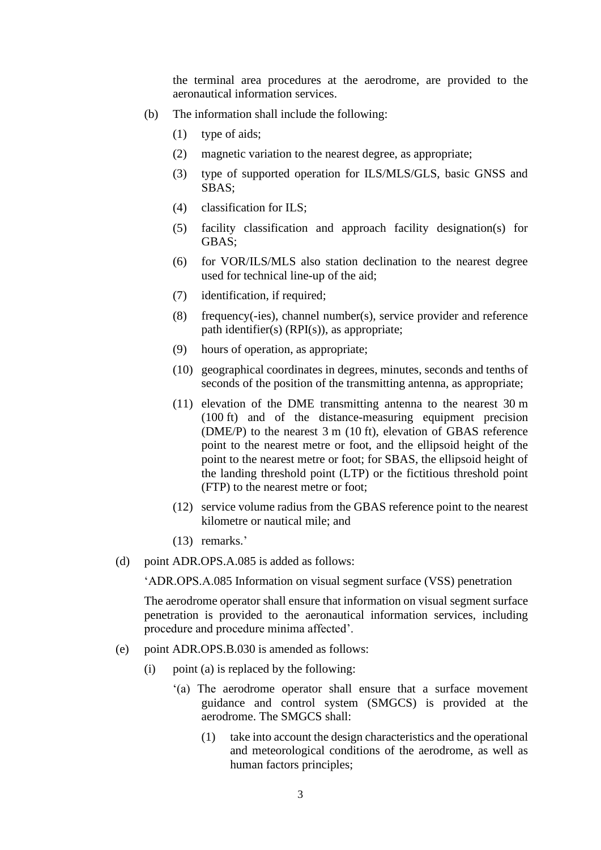the terminal area procedures at the aerodrome, are provided to the aeronautical information services.

- (b) The information shall include the following:
	- (1) type of aids;
	- (2) magnetic variation to the nearest degree, as appropriate;
	- (3) type of supported operation for ILS/MLS/GLS, basic GNSS and SBAS;
	- (4) classification for ILS;
	- (5) facility classification and approach facility designation(s) for GBAS;
	- (6) for VOR/ILS/MLS also station declination to the nearest degree used for technical line-up of the aid;
	- (7) identification, if required;
	- (8) frequency(-ies), channel number(s), service provider and reference path identifier(s) (RPI(s)), as appropriate;
	- (9) hours of operation, as appropriate;
	- (10) geographical coordinates in degrees, minutes, seconds and tenths of seconds of the position of the transmitting antenna, as appropriate;
	- (11) elevation of the DME transmitting antenna to the nearest 30 m (100 ft) and of the distance-measuring equipment precision (DME/P) to the nearest 3 m (10 ft), elevation of GBAS reference point to the nearest metre or foot, and the ellipsoid height of the point to the nearest metre or foot; for SBAS, the ellipsoid height of the landing threshold point (LTP) or the fictitious threshold point (FTP) to the nearest metre or foot;
	- (12) service volume radius from the GBAS reference point to the nearest kilometre or nautical mile; and
	- (13) remarks.'
- (d) point ADR.OPS.A.085 is added as follows:

'ADR.OPS.A.085 Information on visual segment surface (VSS) penetration

The aerodrome operator shall ensure that information on visual segment surface penetration is provided to the aeronautical information services, including procedure and procedure minima affected'.

- (e) point ADR.OPS.B.030 is amended as follows:
	- (i) point (a) is replaced by the following:
		- '(a) The aerodrome operator shall ensure that a surface movement guidance and control system (SMGCS) is provided at the aerodrome. The SMGCS shall:
			- (1) take into account the design characteristics and the operational and meteorological conditions of the aerodrome, as well as human factors principles;